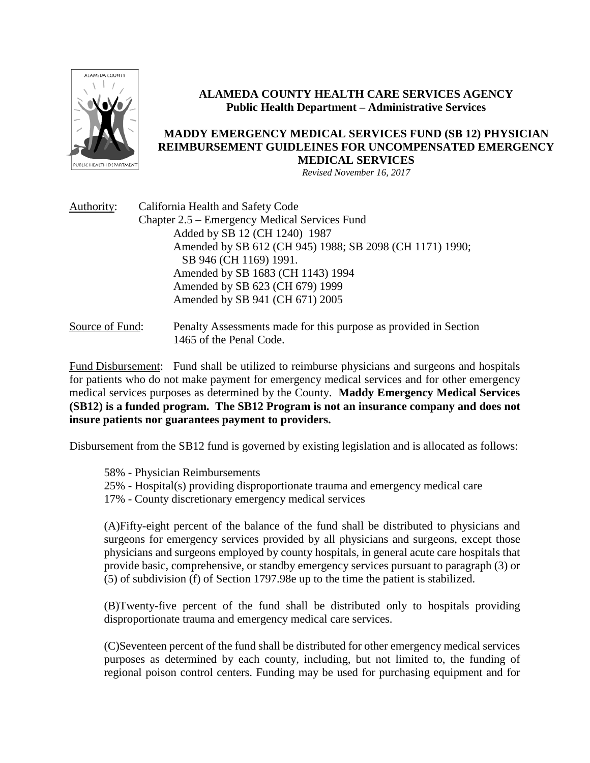

# **ALAMEDA COUNTY HEALTH CARE SERVICES AGENCY Public Health Department – Administrative Services**

# **MADDY EMERGENCY MEDICAL SERVICES FUND (SB 12) PHYSICIAN REIMBURSEMENT GUIDLEINES FOR UNCOMPENSATED EMERGENCY MEDICAL SERVICES**

*Revised November 16, 2017*

| Authority:      | California Health and Safety Code                                |
|-----------------|------------------------------------------------------------------|
|                 | Chapter 2.5 – Emergency Medical Services Fund                    |
|                 | Added by SB 12 (CH 1240) 1987                                    |
|                 | Amended by SB 612 (CH 945) 1988; SB 2098 (CH 1171) 1990;         |
|                 | SB 946 (CH 1169) 1991.                                           |
|                 | Amended by SB 1683 (CH 1143) 1994                                |
|                 | Amended by SB 623 (CH 679) 1999                                  |
|                 | Amended by SB 941 (CH 671) 2005                                  |
| Source of Fund: | Penalty Assessments made for this purpose as provided in Section |
|                 | 1465 of the Penal Code.                                          |

Fund Disbursement: Fund shall be utilized to reimburse physicians and surgeons and hospitals for patients who do not make payment for emergency medical services and for other emergency medical services purposes as determined by the County. **Maddy Emergency Medical Services (SB12) is a funded program. The SB12 Program is not an insurance company and does not insure patients nor guarantees payment to providers.**

Disbursement from the SB12 fund is governed by existing legislation and is allocated as follows:

- 58% Physician Reimbursements
- 25% Hospital(s) providing disproportionate trauma and emergency medical care
- 17% County discretionary emergency medical services

(A)Fifty-eight percent of the balance of the fund shall be distributed to physicians and surgeons for emergency services provided by all physicians and surgeons, except those physicians and surgeons employed by county hospitals, in general acute care hospitals that provide basic, comprehensive, or standby emergency services pursuant to paragraph (3) or (5) of subdivision (f) of Section 1797.98e up to the time the patient is stabilized.

(B)Twenty-five percent of the fund shall be distributed only to hospitals providing disproportionate trauma and emergency medical care services.

(C)Seventeen percent of the fund shall be distributed for other emergency medical services purposes as determined by each county, including, but not limited to, the funding of regional poison control centers. Funding may be used for purchasing equipment and for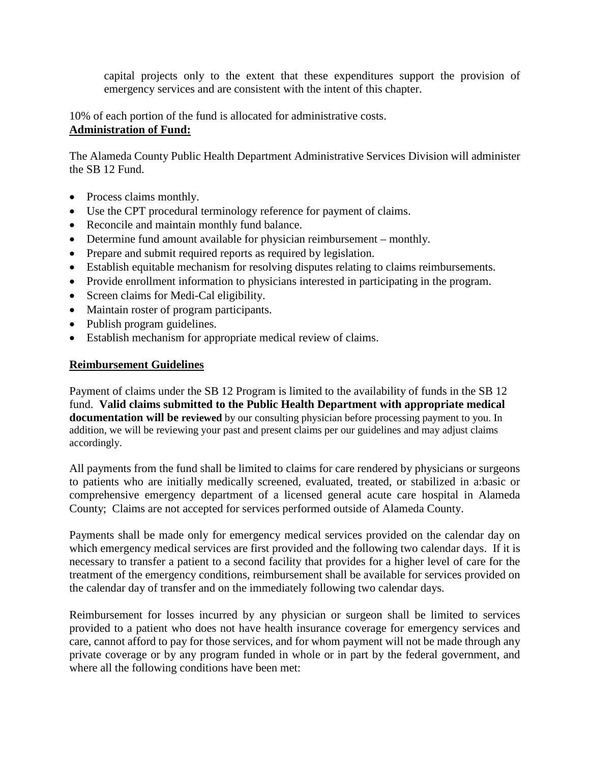capital projects only to the extent that these expenditures support the provision of emergency services and are consistent with the intent of this chapter.

10% of each portion of the fund is allocated for administrative costs. **Administration of Fund:**

The Alameda County Public Health Department Administrative Services Division will administer the SB 12 Fund.

- Process claims monthly.
- Use the CPT procedural terminology reference for payment of claims.
- Reconcile and maintain monthly fund balance.
- Determine fund amount available for physician reimbursement monthly.
- Prepare and submit required reports as required by legislation.
- Establish equitable mechanism for resolving disputes relating to claims reimbursements.
- Provide enrollment information to physicians interested in participating in the program.
- Screen claims for Medi-Cal eligibility.
- Maintain roster of program participants.
- Publish program guidelines.
- Establish mechanism for appropriate medical review of claims.

# **Reimbursement Guidelines**

Payment of claims under the SB 12 Program is limited to the availability of funds in the SB 12 fund. **Valid claims submitted to the Public Health Department with appropriate medical documentation will be reviewed** by our consulting physician before processing payment to you. In addition, we will be reviewing your past and present claims per our guidelines and may adjust claims accordingly.

All payments from the fund shall be limited to claims for care rendered by physicians or surgeons to patients who are initially medically screened, evaluated, treated, or stabilized in a:basic or comprehensive emergency department of a licensed general acute care hospital in Alameda County; Claims are not accepted for services performed outside of Alameda County.

Payments shall be made only for emergency medical services provided on the calendar day on which emergency medical services are first provided and the following two calendar days. If it is necessary to transfer a patient to a second facility that provides for a higher level of care for the treatment of the emergency conditions, reimbursement shall be available for services provided on the calendar day of transfer and on the immediately following two calendar days.

Reimbursement for losses incurred by any physician or surgeon shall be limited to services provided to a patient who does not have health insurance coverage for emergency services and care, cannot afford to pay for those services, and for whom payment will not be made through any private coverage or by any program funded in whole or in part by the federal government, and where all the following conditions have been met: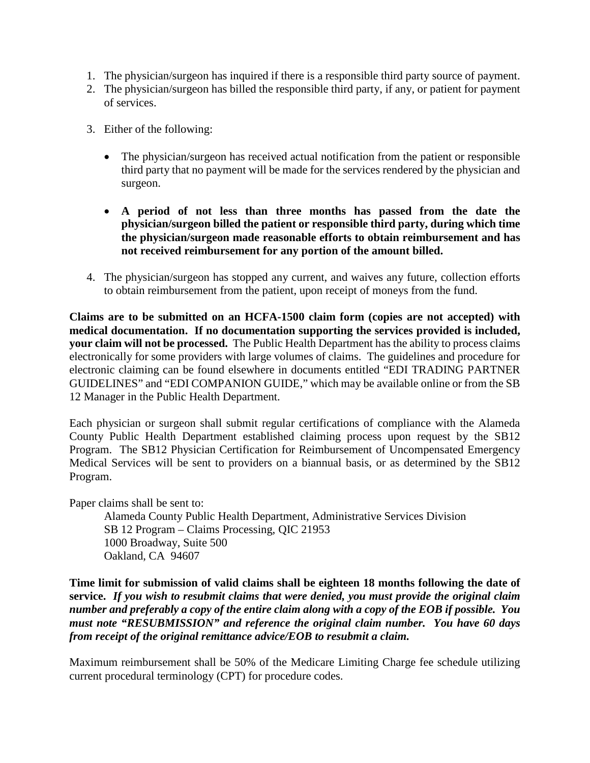- 1. The physician/surgeon has inquired if there is a responsible third party source of payment.
- 2. The physician/surgeon has billed the responsible third party, if any, or patient for payment of services.
- 3. Either of the following:
	- The physician/surgeon has received actual notification from the patient or responsible third party that no payment will be made for the services rendered by the physician and surgeon.
	- **A period of not less than three months has passed from the date the physician/surgeon billed the patient or responsible third party, during which time the physician/surgeon made reasonable efforts to obtain reimbursement and has not received reimbursement for any portion of the amount billed.**
- 4. The physician/surgeon has stopped any current, and waives any future, collection efforts to obtain reimbursement from the patient, upon receipt of moneys from the fund.

**Claims are to be submitted on an HCFA-1500 claim form (copies are not accepted) with medical documentation. If no documentation supporting the services provided is included, your claim will not be processed.** The Public Health Department has the ability to process claims electronically for some providers with large volumes of claims. The guidelines and procedure for electronic claiming can be found elsewhere in documents entitled "EDI TRADING PARTNER GUIDELINES" and "EDI COMPANION GUIDE," which may be available online or from the SB 12 Manager in the Public Health Department.

Each physician or surgeon shall submit regular certifications of compliance with the Alameda County Public Health Department established claiming process upon request by the SB12 Program. The SB12 Physician Certification for Reimbursement of Uncompensated Emergency Medical Services will be sent to providers on a biannual basis, or as determined by the SB12 Program.

Paper claims shall be sent to:

Alameda County Public Health Department, Administrative Services Division SB 12 Program – Claims Processing, QIC 21953 1000 Broadway, Suite 500 Oakland, CA 94607

**Time limit for submission of valid claims shall be eighteen 18 months following the date of service.** *If you wish to resubmit claims that were denied, you must provide the original claim number and preferably a copy of the entire claim along with a copy of the EOB if possible. You must note "RESUBMISSION" and reference the original claim number. You have 60 days from receipt of the original remittance advice/EOB to resubmit a claim.*

Maximum reimbursement shall be 50% of the Medicare Limiting Charge fee schedule utilizing current procedural terminology (CPT) for procedure codes.